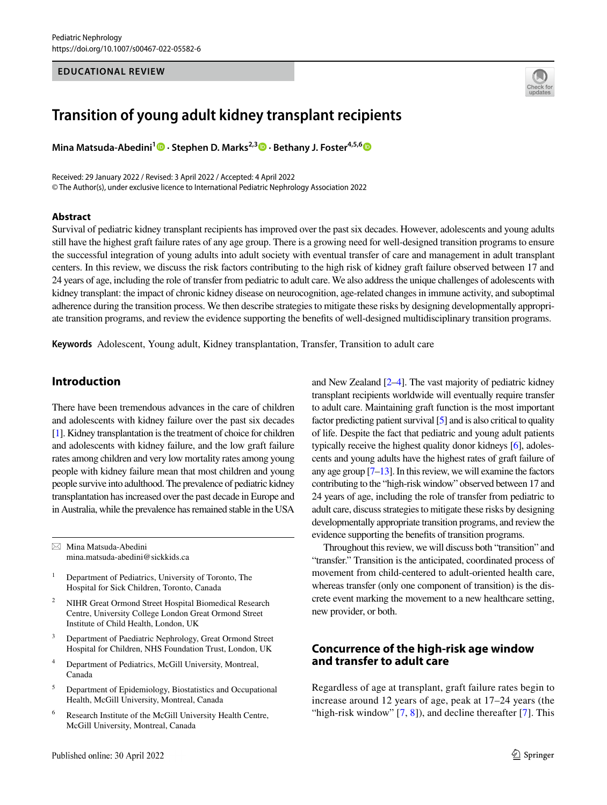#### **EDUCATIONAL REVIEW**



# **Transition of young adult kidney transplant recipients**

**MinaMatsuda-Abedini<sup>1</sup> •· Stephen D. Marks<sup>2,3</sup> •· Bethany J. Foster<sup>4,5,[6](http://orcid.org/0000-0002-2753-442X)</sup> ••** 

Received: 29 January 2022 / Revised: 3 April 2022 / Accepted: 4 April 2022 © The Author(s), under exclusive licence to International Pediatric Nephrology Association 2022

#### **Abstract**

Survival of pediatric kidney transplant recipients has improved over the past six decades. However, adolescents and young adults still have the highest graft failure rates of any age group. There is a growing need for well-designed transition programs to ensure the successful integration of young adults into adult society with eventual transfer of care and management in adult transplant centers. In this review, we discuss the risk factors contributing to the high risk of kidney graft failure observed between 17 and 24 years of age, including the role of transfer from pediatric to adult care. We also address the unique challenges of adolescents with kidney transplant: the impact of chronic kidney disease on neurocognition, age-related changes in immune activity, and suboptimal adherence during the transition process. We then describe strategies to mitigate these risks by designing developmentally appropriate transition programs, and review the evidence supporting the benefts of well-designed multidisciplinary transition programs.

**Keywords** Adolescent, Young adult, Kidney transplantation, Transfer, Transition to adult care

## **Introduction**

There have been tremendous advances in the care of children and adolescents with kidney failure over the past six decades [\[1\]](#page-6-0). Kidney transplantation is the treatment of choice for children and adolescents with kidney failure, and the low graft failure rates among children and very low mortality rates among young people with kidney failure mean that most children and young people survive into adulthood. The prevalence of pediatric kidney transplantation has increased over the past decade in Europe and in Australia, while the prevalence has remained stable in the USA

 $\boxtimes$  Mina Matsuda-Abedini mina.matsuda-abedini@sickkids.ca

<sup>1</sup> Department of Pediatrics, University of Toronto, The Hospital for Sick Children, Toronto, Canada

- <sup>2</sup> NIHR Great Ormond Street Hospital Biomedical Research Centre, University College London Great Ormond Street Institute of Child Health, London, UK
- <sup>3</sup> Department of Paediatric Nephrology, Great Ormond Street Hospital for Children, NHS Foundation Trust, London, UK
- <sup>4</sup> Department of Pediatrics, McGill University, Montreal, Canada
- <sup>5</sup> Department of Epidemiology, Biostatistics and Occupational Health, McGill University, Montreal, Canada
- <sup>6</sup> Research Institute of the McGill University Health Centre, McGill University, Montreal, Canada

and New Zealand [[2](#page-6-1)[–4\]](#page-6-2). The vast majority of pediatric kidney transplant recipients worldwide will eventually require transfer to adult care. Maintaining graft function is the most important factor predicting patient survival [\[5\]](#page-6-3) and is also critical to quality of life. Despite the fact that pediatric and young adult patients typically receive the highest quality donor kidneys [\[6\]](#page-6-4), adolescents and young adults have the highest rates of graft failure of any age group  $[7-13]$  $[7-13]$  $[7-13]$ . In this review, we will examine the factors contributing to the "high-risk window" observed between 17 and 24 years of age, including the role of transfer from pediatric to adult care, discuss strategies to mitigate these risks by designing developmentally appropriate transition programs, and review the evidence supporting the benefts of transition programs.

Throughout this review, we will discuss both "transition" and "transfer." Transition is the anticipated, coordinated process of movement from child-centered to adult-oriented health care, whereas transfer (only one component of transition) is the discrete event marking the movement to a new healthcare setting, new provider, or both.

# **Concurrence of the high‑risk age window and transfer to adult care**

Regardless of age at transplant, graft failure rates begin to increase around 12 years of age, peak at 17–24 years (the "high-risk window"  $[7, 8]$  $[7, 8]$  $[7, 8]$  $[7, 8]$ ), and decline thereafter  $[7]$  $[7]$ . This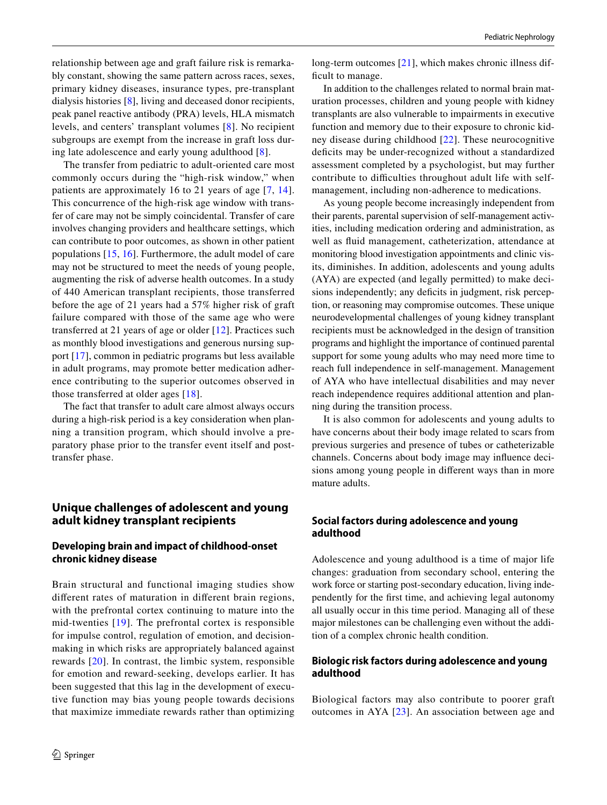relationship between age and graft failure risk is remarkably constant, showing the same pattern across races, sexes, primary kidney diseases, insurance types, pre-transplant dialysis histories [[8\]](#page-6-7), living and deceased donor recipients, peak panel reactive antibody (PRA) levels, HLA mismatch levels, and centers' transplant volumes [[8](#page-6-7)]. No recipient subgroups are exempt from the increase in graft loss during late adolescence and early young adulthood [[8\]](#page-6-7).

The transfer from pediatric to adult-oriented care most commonly occurs during the "high-risk window," when patients are approximately 16 to 21 years of age [[7,](#page-6-5) [14](#page-6-8)]. This concurrence of the high-risk age window with transfer of care may not be simply coincidental. Transfer of care involves changing providers and healthcare settings, which can contribute to poor outcomes, as shown in other patient populations [[15,](#page-6-9) [16](#page-6-10)]. Furthermore, the adult model of care may not be structured to meet the needs of young people, augmenting the risk of adverse health outcomes. In a study of 440 American transplant recipients, those transferred before the age of 21 years had a 57% higher risk of graft failure compared with those of the same age who were transferred at 21 years of age or older [[12\]](#page-6-11). Practices such as monthly blood investigations and generous nursing support [[17\]](#page-6-12), common in pediatric programs but less available in adult programs, may promote better medication adherence contributing to the superior outcomes observed in those transferred at older ages [\[18\]](#page-6-13).

The fact that transfer to adult care almost always occurs during a high-risk period is a key consideration when planning a transition program, which should involve a preparatory phase prior to the transfer event itself and posttransfer phase.

# **Unique challenges of adolescent and young adult kidney transplant recipients**

## **Developing brain and impact of childhood‑onset chronic kidney disease**

Brain structural and functional imaging studies show diferent rates of maturation in diferent brain regions, with the prefrontal cortex continuing to mature into the mid-twenties [[19](#page-6-14)]. The prefrontal cortex is responsible for impulse control, regulation of emotion, and decisionmaking in which risks are appropriately balanced against rewards [\[20\]](#page-6-15). In contrast, the limbic system, responsible for emotion and reward-seeking, develops earlier. It has been suggested that this lag in the development of executive function may bias young people towards decisions that maximize immediate rewards rather than optimizing long-term outcomes [[21](#page-6-16)], which makes chronic illness difficult to manage.

In addition to the challenges related to normal brain maturation processes, children and young people with kidney transplants are also vulnerable to impairments in executive function and memory due to their exposure to chronic kidney disease during childhood [[22](#page-6-17)]. These neurocognitive defcits may be under-recognized without a standardized assessment completed by a psychologist, but may further contribute to difficulties throughout adult life with selfmanagement, including non-adherence to medications.

As young people become increasingly independent from their parents, parental supervision of self-management activities, including medication ordering and administration, as well as fuid management, catheterization, attendance at monitoring blood investigation appointments and clinic visits, diminishes. In addition, adolescents and young adults (AYA) are expected (and legally permitted) to make decisions independently; any deficits in judgment, risk perception, or reasoning may compromise outcomes. These unique neurodevelopmental challenges of young kidney transplant recipients must be acknowledged in the design of transition programs and highlight the importance of continued parental support for some young adults who may need more time to reach full independence in self-management. Management of AYA who have intellectual disabilities and may never reach independence requires additional attention and planning during the transition process.

It is also common for adolescents and young adults to have concerns about their body image related to scars from previous surgeries and presence of tubes or catheterizable channels. Concerns about body image may infuence decisions among young people in diferent ways than in more mature adults.

## **Social factors during adolescence and young adulthood**

Adolescence and young adulthood is a time of major life changes: graduation from secondary school, entering the work force or starting post-secondary education, living independently for the frst time, and achieving legal autonomy all usually occur in this time period. Managing all of these major milestones can be challenging even without the addition of a complex chronic health condition.

## **Biologic risk factors during adolescence and young adulthood**

Biological factors may also contribute to poorer graft outcomes in AYA [[23\]](#page-6-18). An association between age and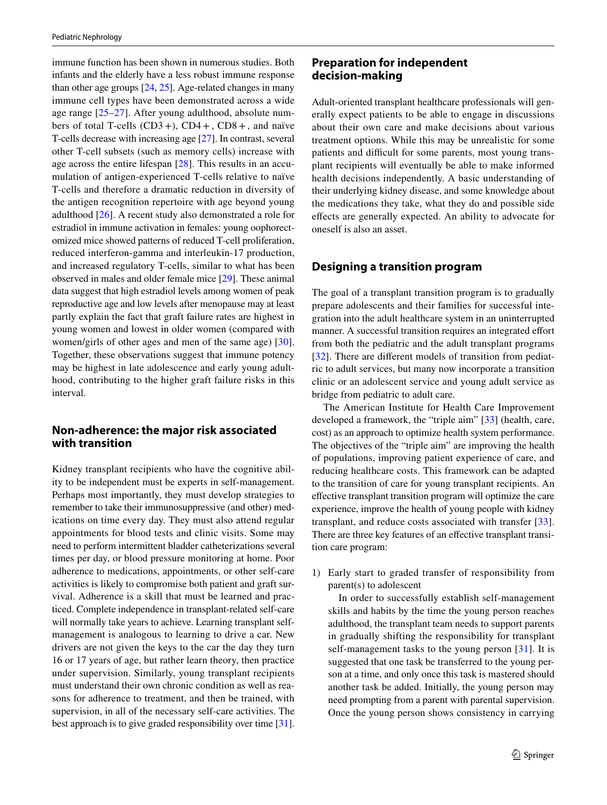immune function has been shown in numerous studies. Both infants and the elderly have a less robust immune response than other age groups [[24,](#page-6-19) [25](#page-6-20)]. Age-related changes in many immune cell types have been demonstrated across a wide age range [[25](#page-6-20)[–27](#page-6-21)]. After young adulthood, absolute numbers of total T-cells  $(CD3+)$ ,  $CD4+$ ,  $CD8+$ , and naïve T-cells decrease with increasing age [[27\]](#page-6-21). In contrast, several other T-cell subsets (such as memory cells) increase with age across the entire lifespan [[28](#page-6-22)]. This results in an accumulation of antigen-experienced T-cells relative to naïve T-cells and therefore a dramatic reduction in diversity of the antigen recognition repertoire with age beyond young adulthood [\[26](#page-6-23)]. A recent study also demonstrated a role for estradiol in immune activation in females: young oophorectomized mice showed patterns of reduced T-cell proliferation, reduced interferon-gamma and interleukin-17 production, and increased regulatory T-cells, similar to what has been observed in males and older female mice [[29\]](#page-6-24). These animal data suggest that high estradiol levels among women of peak reproductive age and low levels after menopause may at least partly explain the fact that graft failure rates are highest in young women and lowest in older women (compared with women/girls of other ages and men of the same age) [\[30](#page-6-25)]. Together, these observations suggest that immune potency may be highest in late adolescence and early young adulthood, contributing to the higher graft failure risks in this interval.

# **Non‑adherence: the major risk associated with transition**

Kidney transplant recipients who have the cognitive ability to be independent must be experts in self-management. Perhaps most importantly, they must develop strategies to remember to take their immunosuppressive (and other) medications on time every day. They must also attend regular appointments for blood tests and clinic visits. Some may need to perform intermittent bladder catheterizations several times per day, or blood pressure monitoring at home. Poor adherence to medications, appointments, or other self-care activities is likely to compromise both patient and graft survival. Adherence is a skill that must be learned and practiced. Complete independence in transplant-related self-care will normally take years to achieve. Learning transplant selfmanagement is analogous to learning to drive a car. New drivers are not given the keys to the car the day they turn 16 or 17 years of age, but rather learn theory, then practice under supervision. Similarly, young transplant recipients must understand their own chronic condition as well as reasons for adherence to treatment, and then be trained, with supervision, in all of the necessary self-care activities. The best approach is to give graded responsibility over time [\[31](#page-6-26)].

# **Preparation for independent decision‑making**

Adult-oriented transplant healthcare professionals will generally expect patients to be able to engage in discussions about their own care and make decisions about various treatment options. While this may be unrealistic for some patients and difficult for some parents, most young transplant recipients will eventually be able to make informed health decisions independently. A basic understanding of their underlying kidney disease, and some knowledge about the medications they take, what they do and possible side efects are generally expected. An ability to advocate for oneself is also an asset.

# **Designing a transition program**

The goal of a transplant transition program is to gradually prepare adolescents and their families for successful integration into the adult healthcare system in an uninterrupted manner. A successful transition requires an integrated effort from both the pediatric and the adult transplant programs [[32\]](#page-7-0). There are different models of transition from pediatric to adult services, but many now incorporate a transition clinic or an adolescent service and young adult service as bridge from pediatric to adult care.

The American Institute for Health Care Improvement developed a framework, the "triple aim" [\[33\]](#page-7-1) (health, care, cost) as an approach to optimize health system performance. The objectives of the "triple aim" are improving the health of populations, improving patient experience of care, and reducing healthcare costs. This framework can be adapted to the transition of care for young transplant recipients. An efective transplant transition program will optimize the care experience, improve the health of young people with kidney transplant, and reduce costs associated with transfer [[33](#page-7-1)]. There are three key features of an efective transplant transition care program:

1) Early start to graded transfer of responsibility from parent(s) to adolescent

 In order to successfully establish self-management skills and habits by the time the young person reaches adulthood, the transplant team needs to support parents in gradually shifting the responsibility for transplant self-management tasks to the young person [[31](#page-6-26)]. It is suggested that one task be transferred to the young person at a time, and only once this task is mastered should another task be added. Initially, the young person may need prompting from a parent with parental supervision. Once the young person shows consistency in carrying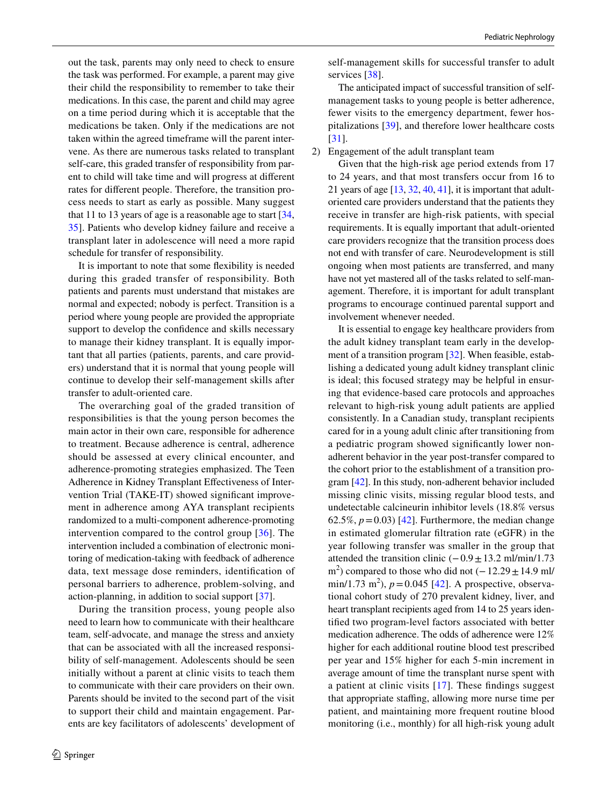out the task, parents may only need to check to ensure the task was performed. For example, a parent may give their child the responsibility to remember to take their medications. In this case, the parent and child may agree on a time period during which it is acceptable that the medications be taken. Only if the medications are not taken within the agreed timeframe will the parent intervene. As there are numerous tasks related to transplant self-care, this graded transfer of responsibility from parent to child will take time and will progress at diferent rates for diferent people. Therefore, the transition process needs to start as early as possible. Many suggest that 11 to 13 years of age is a reasonable age to start  $[34, 1]$  $[34, 1]$  $[34, 1]$ [35](#page-7-3)]. Patients who develop kidney failure and receive a transplant later in adolescence will need a more rapid schedule for transfer of responsibility.

 It is important to note that some fexibility is needed during this graded transfer of responsibility. Both patients and parents must understand that mistakes are normal and expected; nobody is perfect. Transition is a period where young people are provided the appropriate support to develop the confdence and skills necessary to manage their kidney transplant. It is equally important that all parties (patients, parents, and care providers) understand that it is normal that young people will continue to develop their self-management skills after transfer to adult-oriented care.

 The overarching goal of the graded transition of responsibilities is that the young person becomes the main actor in their own care, responsible for adherence to treatment. Because adherence is central, adherence should be assessed at every clinical encounter, and adherence-promoting strategies emphasized. The Teen Adherence in Kidney Transplant Efectiveness of Intervention Trial (TAKE-IT) showed signifcant improvement in adherence among AYA transplant recipients randomized to a multi-component adherence-promoting intervention compared to the control group [[36\]](#page-7-4). The intervention included a combination of electronic monitoring of medication-taking with feedback of adherence data, text message dose reminders, identifcation of personal barriers to adherence, problem-solving, and action-planning, in addition to social support [\[37](#page-7-5)].

 During the transition process, young people also need to learn how to communicate with their healthcare team, self-advocate, and manage the stress and anxiety that can be associated with all the increased responsibility of self-management. Adolescents should be seen initially without a parent at clinic visits to teach them to communicate with their care providers on their own. Parents should be invited to the second part of the visit to support their child and maintain engagement. Parents are key facilitators of adolescents' development of self-management skills for successful transfer to adult services [[38\]](#page-7-6).

 The anticipated impact of successful transition of selfmanagement tasks to young people is better adherence, fewer visits to the emergency department, fewer hospitalizations [\[39](#page-7-7)], and therefore lower healthcare costs [[31\]](#page-6-26).

2) Engagement of the adult transplant team

 Given that the high-risk age period extends from 17 to 24 years, and that most transfers occur from 16 to 21 years of age  $[13, 32, 40, 41]$  $[13, 32, 40, 41]$  $[13, 32, 40, 41]$  $[13, 32, 40, 41]$  $[13, 32, 40, 41]$  $[13, 32, 40, 41]$  $[13, 32, 40, 41]$  $[13, 32, 40, 41]$ , it is important that adultoriented care providers understand that the patients they receive in transfer are high-risk patients, with special requirements. It is equally important that adult-oriented care providers recognize that the transition process does not end with transfer of care. Neurodevelopment is still ongoing when most patients are transferred, and many have not yet mastered all of the tasks related to self-management. Therefore, it is important for adult transplant programs to encourage continued parental support and involvement whenever needed.

 It is essential to engage key healthcare providers from the adult kidney transplant team early in the development of a transition program [[32\]](#page-7-0). When feasible, establishing a dedicated young adult kidney transplant clinic is ideal; this focused strategy may be helpful in ensuring that evidence-based care protocols and approaches relevant to high-risk young adult patients are applied consistently. In a Canadian study, transplant recipients cared for in a young adult clinic after transitioning from a pediatric program showed signifcantly lower nonadherent behavior in the year post-transfer compared to the cohort prior to the establishment of a transition program [\[42](#page-7-10)]. In this study, non-adherent behavior included missing clinic visits, missing regular blood tests, and undetectable calcineurin inhibitor levels (18.8% versus 62.5%,  $p = 0.03$  [[42](#page-7-10)]. Furthermore, the median change in estimated glomerular fltration rate (eGFR) in the year following transfer was smaller in the group that attended the transition clinic  $(-0.9 \pm 13.2 \text{ ml/min}/1.73)$ m<sup>2</sup>) compared to those who did not  $(-12.29 \pm 14.9 \text{ ml})$ min/1.73 m<sup>2</sup>),  $p = 0.045$  [[42](#page-7-10)]. A prospective, observational cohort study of 270 prevalent kidney, liver, and heart transplant recipients aged from 14 to 25 years identifed two program-level factors associated with better medication adherence. The odds of adherence were 12% higher for each additional routine blood test prescribed per year and 15% higher for each 5-min increment in average amount of time the transplant nurse spent with a patient at clinic visits [\[17\]](#page-6-12). These fndings suggest that appropriate staffing, allowing more nurse time per patient, and maintaining more frequent routine blood monitoring (i.e., monthly) for all high-risk young adult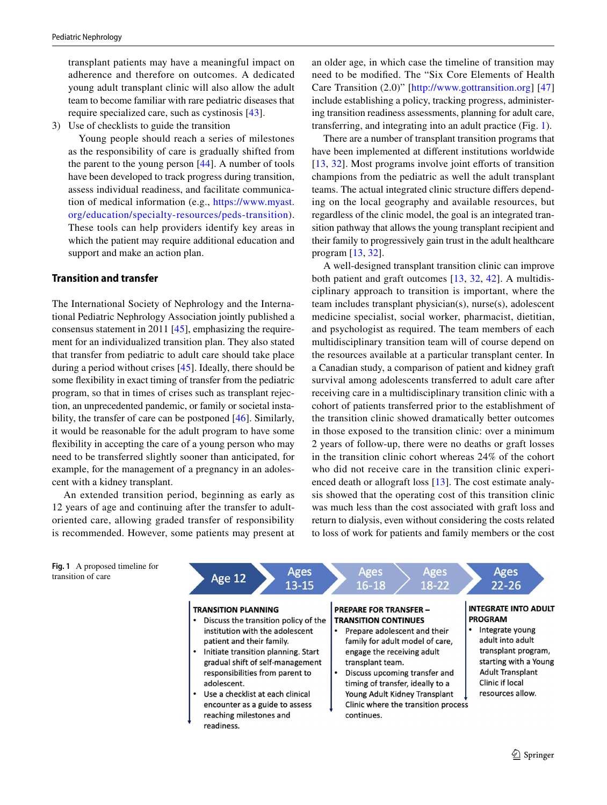transplant patients may have a meaningful impact on adherence and therefore on outcomes. A dedicated young adult transplant clinic will also allow the adult team to become familiar with rare pediatric diseases that require specialized care, such as cystinosis [\[43](#page-7-11)].

3) Use of checklists to guide the transition

 Young people should reach a series of milestones as the responsibility of care is gradually shifted from the parent to the young person [\[44](#page-7-12)]. A number of tools have been developed to track progress during transition, assess individual readiness, and facilitate communication of medical information (e.g., [https://www.myast.](https://www.myast.org/education/specialty-resources/peds-transition) [org/education/specialty-resources/peds-transition](https://www.myast.org/education/specialty-resources/peds-transition)). These tools can help providers identify key areas in which the patient may require additional education and support and make an action plan.

#### **Transition and transfer**

The International Society of Nephrology and the International Pediatric Nephrology Association jointly published a consensus statement in 2011 [\[45](#page-7-13)], emphasizing the requirement for an individualized transition plan. They also stated that transfer from pediatric to adult care should take place during a period without crises [\[45](#page-7-13)]. Ideally, there should be some fexibility in exact timing of transfer from the pediatric program, so that in times of crises such as transplant rejection, an unprecedented pandemic, or family or societal instability, the transfer of care can be postponed [\[46](#page-7-14)]. Similarly, it would be reasonable for the adult program to have some fexibility in accepting the care of a young person who may need to be transferred slightly sooner than anticipated, for example, for the management of a pregnancy in an adolescent with a kidney transplant.

An extended transition period, beginning as early as 12 years of age and continuing after the transfer to adultoriented care, allowing graded transfer of responsibility is recommended. However, some patients may present at

an older age, in which case the timeline of transition may need to be modifed. The "Six Core Elements of Health Care Transition (2.0)" [[http://www.gottransition.org\]](http://www.gottransition.org) [[47\]](#page-7-15) include establishing a policy, tracking progress, administering transition readiness assessments, planning for adult care, transferring, and integrating into an adult practice (Fig. [1\)](#page-4-0).

There are a number of transplant transition programs that have been implemented at diferent institutions worldwide [[13,](#page-6-6) [32\]](#page-7-0). Most programs involve joint efforts of transition champions from the pediatric as well the adult transplant teams. The actual integrated clinic structure difers depending on the local geography and available resources, but regardless of the clinic model, the goal is an integrated transition pathway that allows the young transplant recipient and their family to progressively gain trust in the adult healthcare program [\[13](#page-6-6), [32](#page-7-0)].

A well-designed transplant transition clinic can improve both patient and graft outcomes [\[13,](#page-6-6) [32,](#page-7-0) [42](#page-7-10)]. A multidisciplinary approach to transition is important, where the team includes transplant physician(s), nurse(s), adolescent medicine specialist, social worker, pharmacist, dietitian, and psychologist as required. The team members of each multidisciplinary transition team will of course depend on the resources available at a particular transplant center. In a Canadian study, a comparison of patient and kidney graft survival among adolescents transferred to adult care after receiving care in a multidisciplinary transition clinic with a cohort of patients transferred prior to the establishment of the transition clinic showed dramatically better outcomes in those exposed to the transition clinic: over a minimum 2 years of follow-up, there were no deaths or graft losses in the transition clinic cohort whereas 24% of the cohort who did not receive care in the transition clinic experienced death or allograft loss [\[13](#page-6-6)]. The cost estimate analysis showed that the operating cost of this transition clinic was much less than the cost associated with graft loss and return to dialysis, even without considering the costs related to loss of work for patients and family members or the cost

<span id="page-4-0"></span>**Fig. 1** A proposed timeline for transition of care

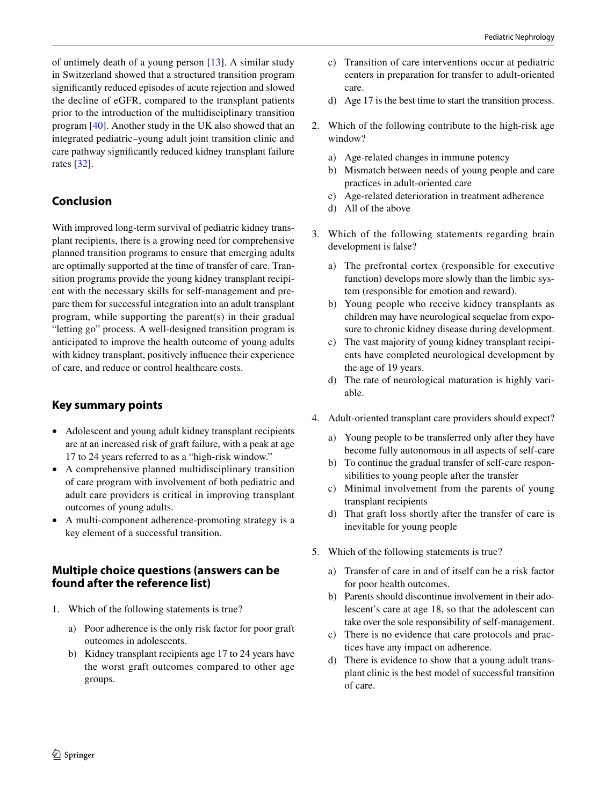of untimely death of a young person  $[13]$  $[13]$ . A similar study in Switzerland showed that a structured transition program signifcantly reduced episodes of acute rejection and slowed the decline of eGFR, compared to the transplant patients prior to the introduction of the multidisciplinary transition program [[40](#page-7-8)]. Another study in the UK also showed that an integrated pediatric–young adult joint transition clinic and care pathway signifcantly reduced kidney transplant failure rates [[32](#page-7-0)].

# **Conclusion**

With improved long-term survival of pediatric kidney transplant recipients, there is a growing need for comprehensive planned transition programs to ensure that emerging adults are optimally supported at the time of transfer of care. Transition programs provide the young kidney transplant recipient with the necessary skills for self-management and prepare them for successful integration into an adult transplant program, while supporting the parent(s) in their gradual "letting go" process. A well-designed transition program is anticipated to improve the health outcome of young adults with kidney transplant, positively infuence their experience of care, and reduce or control healthcare costs.

# **Key summary points**

- Adolescent and young adult kidney transplant recipients are at an increased risk of graft failure, with a peak at age 17 to 24 years referred to as a "high-risk window."
- A comprehensive planned multidisciplinary transition of care program with involvement of both pediatric and adult care providers is critical in improving transplant outcomes of young adults.
- A multi-component adherence-promoting strategy is a key element of a successful transition.

# **Multiple choice questions (answers can be found after the reference list)**

- 1. Which of the following statements is true?
	- a) Poor adherence is the only risk factor for poor graft outcomes in adolescents.
	- b) Kidney transplant recipients age 17 to 24 years have the worst graft outcomes compared to other age groups.
- c) Transition of care interventions occur at pediatric centers in preparation for transfer to adult-oriented care.
- d) Age 17 is the best time to start the transition process.
- 2. Which of the following contribute to the high-risk age window?
	- a) Age-related changes in immune potency
	- b) Mismatch between needs of young people and care practices in adult-oriented care
	- c) Age-related deterioration in treatment adherence
	- d) All of the above
- 3. Which of the following statements regarding brain development is false?
	- a) The prefrontal cortex (responsible for executive function) develops more slowly than the limbic system (responsible for emotion and reward).
	- b) Young people who receive kidney transplants as children may have neurological sequelae from exposure to chronic kidney disease during development.
	- c) The vast majority of young kidney transplant recipients have completed neurological development by the age of 19 years.
	- d) The rate of neurological maturation is highly variable.
- 4. Adult-oriented transplant care providers should expect?
	- a) Young people to be transferred only after they have become fully autonomous in all aspects of self-care
	- b) To continue the gradual transfer of self-care responsibilities to young people after the transfer
	- c) Minimal involvement from the parents of young transplant recipients
	- d) That graft loss shortly after the transfer of care is inevitable for young people
- 5. Which of the following statements is true?
	- a) Transfer of care in and of itself can be a risk factor for poor health outcomes.
	- b) Parents should discontinue involvement in their adolescent's care at age 18, so that the adolescent can take over the sole responsibility of self-management.
	- c) There is no evidence that care protocols and practices have any impact on adherence.
	- d) There is evidence to show that a young adult transplant clinic is the best model of successful transition of care.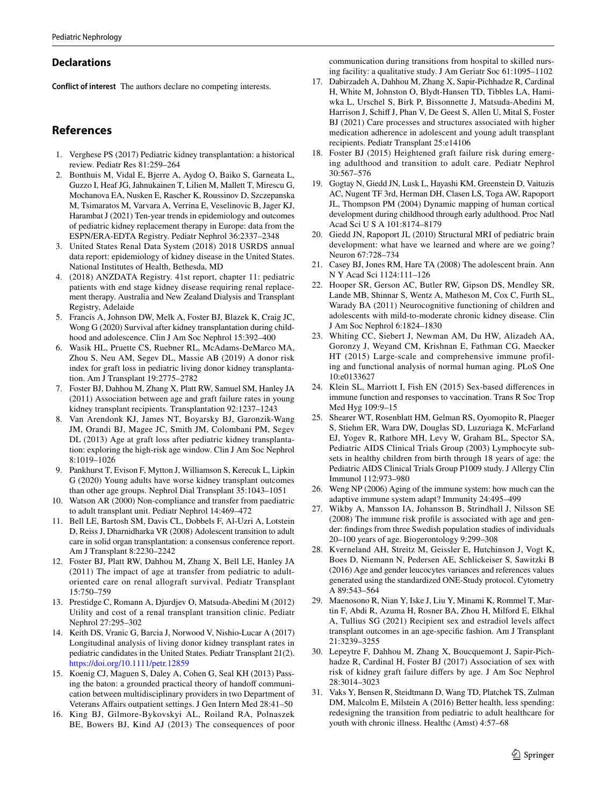#### **Declarations**

**Conflict of interest** The authors declare no competing interests.

## **References**

- <span id="page-6-0"></span>1. Verghese PS (2017) Pediatric kidney transplantation: a historical review. Pediatr Res 81:259–264
- <span id="page-6-1"></span>2. Bonthuis M, Vidal E, Bjerre A, Aydog O, Baiko S, Garneata L, Guzzo I, Heaf JG, Jahnukainen T, Lilien M, Mallett T, Mirescu G, Mochanova EA, Nusken E, Rascher K, Roussinov D, Szczepanska M, Tsimaratos M, Varvara A, Verrina E, Veselinovic B, Jager KJ, Harambat J (2021) Ten-year trends in epidemiology and outcomes of pediatric kidney replacement therapy in Europe: data from the ESPN/ERA-EDTA Registry. Pediatr Nephrol 36:2337–2348
- 3. United States Renal Data System (2018) 2018 USRDS annual data report: epidemiology of kidney disease in the United States. National Institutes of Health, Bethesda, MD
- <span id="page-6-2"></span>4. (2018) ANZDATA Registry. 41st report, chapter 11: pediatric patients with end stage kidney disease requiring renal replacement therapy. Australia and New Zealand Dialysis and Transplant Registry, Adelaide
- <span id="page-6-3"></span>5. Francis A, Johnson DW, Melk A, Foster BJ, Blazek K, Craig JC, Wong G (2020) Survival after kidney transplantation during childhood and adolescence. Clin J Am Soc Nephrol 15:392–400
- <span id="page-6-4"></span>6. Wasik HL, Pruette CS, Ruebner RL, McAdams-DeMarco MA, Zhou S, Neu AM, Segev DL, Massie AB (2019) A donor risk index for graft loss in pediatric living donor kidney transplantation. Am J Transplant 19:2775–2782
- <span id="page-6-5"></span>7. Foster BJ, Dahhou M, Zhang X, Platt RW, Samuel SM, Hanley JA (2011) Association between age and graft failure rates in young kidney transplant recipients. Transplantation 92:1237–1243
- <span id="page-6-7"></span>8. Van Arendonk KJ, James NT, Boyarsky BJ, Garonzik-Wang JM, Orandi BJ, Magee JC, Smith JM, Colombani PM, Segev DL (2013) Age at graft loss after pediatric kidney transplantation: exploring the high-risk age window. Clin J Am Soc Nephrol 8:1019–1026
- 9. Pankhurst T, Evison F, Mytton J, Williamson S, Kerecuk L, Lipkin G (2020) Young adults have worse kidney transplant outcomes than other age groups. Nephrol Dial Transplant 35:1043–1051
- 10. Watson AR (2000) Non-compliance and transfer from paediatric to adult transplant unit. Pediatr Nephrol 14:469–472
- 11. Bell LE, Bartosh SM, Davis CL, Dobbels F, Al-Uzri A, Lotstein D, Reiss J, Dharnidharka VR (2008) Adolescent transition to adult care in solid organ transplantation: a consensus conference report. Am J Transplant 8:2230–2242
- <span id="page-6-11"></span>12. Foster BJ, Platt RW, Dahhou M, Zhang X, Bell LE, Hanley JA (2011) The impact of age at transfer from pediatric to adultoriented care on renal allograft survival. Pediatr Transplant 15:750–759
- <span id="page-6-6"></span>13. Prestidge C, Romann A, Djurdjev O, Matsuda-Abedini M (2012) Utility and cost of a renal transplant transition clinic. Pediatr Nephrol 27:295–302
- <span id="page-6-8"></span>14. Keith DS, Vranic G, Barcia J, Norwood V, Nishio-Lucar A (2017) Longitudinal analysis of living donor kidney transplant rates in pediatric candidates in the United States. Pediatr Transplant 21(2). <https://doi.org/10.1111/petr.12859>
- <span id="page-6-9"></span>15. Koenig CJ, Maguen S, Daley A, Cohen G, Seal KH (2013) Passing the baton: a grounded practical theory of handoff communication between multidisciplinary providers in two Department of Veterans Afairs outpatient settings. J Gen Intern Med 28:41–50
- <span id="page-6-10"></span>16. King BJ, Gilmore-Bykovskyi AL, Roiland RA, Polnaszek BE, Bowers BJ, Kind AJ (2013) The consequences of poor

communication during transitions from hospital to skilled nursing facility: a qualitative study. J Am Geriatr Soc 61:1095–1102

- <span id="page-6-12"></span>17. Dabirzadeh A, Dahhou M, Zhang X, Sapir-Pichhadze R, Cardinal H, White M, Johnston O, Blydt-Hansen TD, Tibbles LA, Hamiwka L, Urschel S, Birk P, Bissonnette J, Matsuda-Abedini M, Harrison J, Schif J, Phan V, De Geest S, Allen U, Mital S, Foster BJ (2021) Care processes and structures associated with higher medication adherence in adolescent and young adult transplant recipients. Pediatr Transplant 25:e14106
- <span id="page-6-13"></span>18. Foster BJ (2015) Heightened graft failure risk during emerging adulthood and transition to adult care. Pediatr Nephrol 30:567–576
- <span id="page-6-14"></span>19. Gogtay N, Giedd JN, Lusk L, Hayashi KM, Greenstein D, Vaituzis AC, Nugent TF 3rd, Herman DH, Clasen LS, Toga AW, Rapoport JL, Thompson PM (2004) Dynamic mapping of human cortical development during childhood through early adulthood. Proc Natl Acad Sci U S A 101:8174–8179
- <span id="page-6-15"></span>20. Giedd JN, Rapoport JL (2010) Structural MRI of pediatric brain development: what have we learned and where are we going? Neuron 67:728–734
- <span id="page-6-16"></span>21. Casey BJ, Jones RM, Hare TA (2008) The adolescent brain. Ann N Y Acad Sci 1124:111–126
- <span id="page-6-17"></span>22. Hooper SR, Gerson AC, Butler RW, Gipson DS, Mendley SR, Lande MB, Shinnar S, Wentz A, Matheson M, Cox C, Furth SL, Warady BA (2011) Neurocognitive functioning of children and adolescents with mild-to-moderate chronic kidney disease. Clin J Am Soc Nephrol 6:1824–1830
- <span id="page-6-18"></span>23. Whiting CC, Siebert J, Newman AM, Du HW, Alizadeh AA, Goronzy J, Weyand CM, Krishnan E, Fathman CG, Maecker HT (2015) Large-scale and comprehensive immune profiling and functional analysis of normal human aging. PLoS One 10:e0133627
- <span id="page-6-19"></span>24. Klein SL, Marriott I, Fish EN (2015) Sex-based diferences in immune function and responses to vaccination. Trans R Soc Trop Med Hyg 109:9–15
- <span id="page-6-20"></span>25. Shearer WT, Rosenblatt HM, Gelman RS, Oyomopito R, Plaeger S, Stiehm ER, Wara DW, Douglas SD, Luzuriaga K, McFarland EJ, Yogev R, Rathore MH, Levy W, Graham BL, Spector SA, Pediatric AIDS Clinical Trials Group (2003) Lymphocyte subsets in healthy children from birth through 18 years of age: the Pediatric AIDS Clinical Trials Group P1009 study. J Allergy Clin Immunol 112:973–980
- <span id="page-6-23"></span>26. Weng NP (2006) Aging of the immune system: how much can the adaptive immune system adapt? Immunity 24:495–499
- <span id="page-6-21"></span>27. Wikby A, Mansson IA, Johansson B, Strindhall J, Nilsson SE (2008) The immune risk profle is associated with age and gender: fndings from three Swedish population studies of individuals 20–100 years of age. Biogerontology 9:299–308
- <span id="page-6-22"></span>28. Kverneland AH, Streitz M, Geissler E, Hutchinson J, Vogt K, Boes D, Niemann N, Pedersen AE, Schlickeiser S, Sawitzki B (2016) Age and gender leucocytes variances and references values generated using the standardized ONE-Study protocol. Cytometry A 89:543–564
- <span id="page-6-24"></span>29. Maenosono R, Nian Y, Iske J, Liu Y, Minami K, Rommel T, Martin F, Abdi R, Azuma H, Rosner BA, Zhou H, Milford E, Elkhal A, Tullius SG (2021) Recipient sex and estradiol levels afect transplant outcomes in an age-specifc fashion. Am J Transplant 21:3239–3255
- <span id="page-6-25"></span>30. Lepeytre F, Dahhou M, Zhang X, Boucquemont J, Sapir-Pichhadze R, Cardinal H, Foster BJ (2017) Association of sex with risk of kidney graft failure difers by age. J Am Soc Nephrol 28:3014–3023
- <span id="page-6-26"></span>31. Vaks Y, Bensen R, Steidtmann D, Wang TD, Platchek TS, Zulman DM, Malcolm E, Milstein A (2016) Better health, less spending: redesigning the transition from pediatric to adult healthcare for youth with chronic illness. Healthc (Amst) 4:57–68